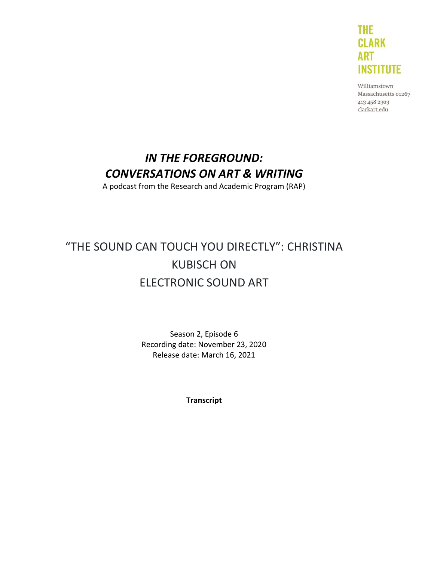

Williamstown Massachusetts 01267 413 458 2303 clarkart.edu

# *IN THE FOREGROUND: CONVERSATIONS ON ART & WRITING*

A podcast from the Research and Academic Program (RAP)

# "THE SOUND CAN TOUCH YOU DIRECTLY": CHRISTINA KUBISCH ON ELECTRONIC SOUND ART

Season 2, Episode 6 Recording date: November 23, 2020 Release date: March 16, 2021

**Transcript**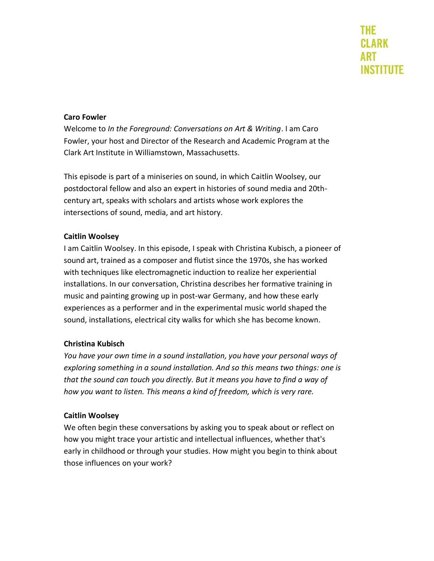#### **Caro Fowler**

Welcome to *In the Foreground: Conversations on Art & Writing*. I am Caro Fowler, your host and Director of the Research and Academic Program at the Clark Art Institute in Williamstown, Massachusetts.

This episode is part of a miniseries on sound, in which Caitlin Woolsey, our postdoctoral fellow and also an expert in histories of sound media and 20thcentury art, speaks with scholars and artists whose work explores the intersections of sound, media, and art history.

### **Caitlin Woolsey**

I am Caitlin Woolsey. In this episode, I speak with Christina Kubisch, a pioneer of sound art, trained as a composer and flutist since the 1970s, she has worked with techniques like electromagnetic induction to realize her experiential installations. In our conversation, Christina describes her formative training in music and painting growing up in post-war Germany, and how these early experiences as a performer and in the experimental music world shaped the sound, installations, electrical city walks for which she has become known.

# **Christina Kubisch**

*You have your own time in a sound installation, you have your personal ways of exploring something in a sound installation. And so this means two things: one is that the sound can touch you directly. But it means you have to find a way of how you want to listen. This means a kind of freedom, which is very rare.*

# **Caitlin Woolsey**

We often begin these conversations by asking you to speak about or reflect on how you might trace your artistic and intellectual influences, whether that's early in childhood or through your studies. How might you begin to think about those influences on your work?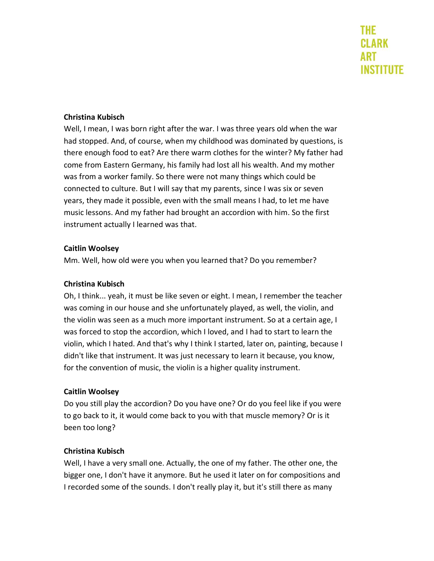### **Christina Kubisch**

Well, I mean, I was born right after the war. I was three years old when the war had stopped. And, of course, when my childhood was dominated by questions, is there enough food to eat? Are there warm clothes for the winter? My father had come from Eastern Germany, his family had lost all his wealth. And my mother was from a worker family. So there were not many things which could be connected to culture. But I will say that my parents, since I was six or seven years, they made it possible, even with the small means I had, to let me have music lessons. And my father had brought an accordion with him. So the first instrument actually I learned was that.

#### **Caitlin Woolsey**

Mm. Well, how old were you when you learned that? Do you remember?

# **Christina Kubisch**

Oh, I think... yeah, it must be like seven or eight. I mean, I remember the teacher was coming in our house and she unfortunately played, as well, the violin, and the violin was seen as a much more important instrument. So at a certain age, I was forced to stop the accordion, which I loved, and I had to start to learn the violin, which I hated. And that's why I think I started, later on, painting, because I didn't like that instrument. It was just necessary to learn it because, you know, for the convention of music, the violin is a higher quality instrument.

# **Caitlin Woolsey**

Do you still play the accordion? Do you have one? Or do you feel like if you were to go back to it, it would come back to you with that muscle memory? Or is it been too long?

# **Christina Kubisch**

Well, I have a very small one. Actually, the one of my father. The other one, the bigger one, I don't have it anymore. But he used it later on for compositions and I recorded some of the sounds. I don't really play it, but it's still there as many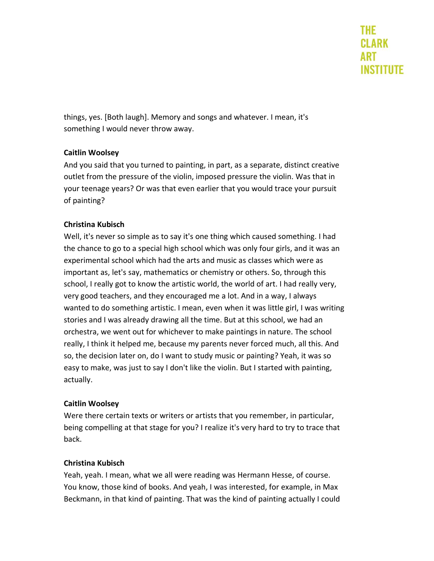things, yes. [Both laugh]. Memory and songs and whatever. I mean, it's something I would never throw away.

# **Caitlin Woolsey**

And you said that you turned to painting, in part, as a separate, distinct creative outlet from the pressure of the violin, imposed pressure the violin. Was that in your teenage years? Or was that even earlier that you would trace your pursuit of painting?

# **Christina Kubisch**

Well, it's never so simple as to say it's one thing which caused something. I had the chance to go to a special high school which was only four girls, and it was an experimental school which had the arts and music as classes which were as important as, let's say, mathematics or chemistry or others. So, through this school, I really got to know the artistic world, the world of art. I had really very, very good teachers, and they encouraged me a lot. And in a way, I always wanted to do something artistic. I mean, even when it was little girl, I was writing stories and I was already drawing all the time. But at this school, we had an orchestra, we went out for whichever to make paintings in nature. The school really, I think it helped me, because my parents never forced much, all this. And so, the decision later on, do I want to study music or painting? Yeah, it was so easy to make, was just to say I don't like the violin. But I started with painting, actually.

#### **Caitlin Woolsey**

Were there certain texts or writers or artists that you remember, in particular, being compelling at that stage for you? I realize it's very hard to try to trace that back.

#### **Christina Kubisch**

Yeah, yeah. I mean, what we all were reading was Hermann Hesse, of course. You know, those kind of books. And yeah, I was interested, for example, in Max Beckmann, in that kind of painting. That was the kind of painting actually I could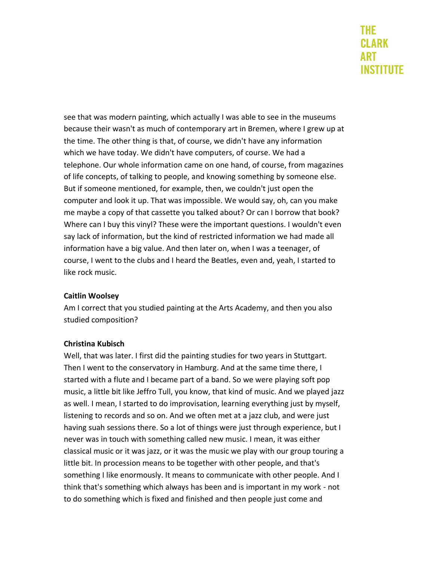see that was modern painting, which actually I was able to see in the museums because their wasn't as much of contemporary art in Bremen, where I grew up at the time. The other thing is that, of course, we didn't have any information which we have today. We didn't have computers, of course. We had a telephone. Our whole information came on one hand, of course, from magazines of life concepts, of talking to people, and knowing something by someone else. But if someone mentioned, for example, then, we couldn't just open the computer and look it up. That was impossible. We would say, oh, can you make me maybe a copy of that cassette you talked about? Or can I borrow that book? Where can I buy this vinyl? These were the important questions. I wouldn't even say lack of information, but the kind of restricted information we had made all information have a big value. And then later on, when I was a teenager, of course, I went to the clubs and I heard the Beatles, even and, yeah, I started to like rock music.

# **Caitlin Woolsey**

Am I correct that you studied painting at the Arts Academy, and then you also studied composition?

# **Christina Kubisch**

Well, that was later. I first did the painting studies for two years in Stuttgart. Then I went to the conservatory in Hamburg. And at the same time there, I started with a flute and I became part of a band. So we were playing soft pop music, a little bit like Jeffro Tull, you know, that kind of music. And we played jazz as well. I mean, I started to do improvisation, learning everything just by myself, listening to records and so on. And we often met at a jazz club, and were just having suah sessions there. So a lot of things were just through experience, but I never was in touch with something called new music. I mean, it was either classical music or it was jazz, or it was the music we play with our group touring a little bit. In procession means to be together with other people, and that's something I like enormously. It means to communicate with other people. And I think that's something which always has been and is important in my work - not to do something which is fixed and finished and then people just come and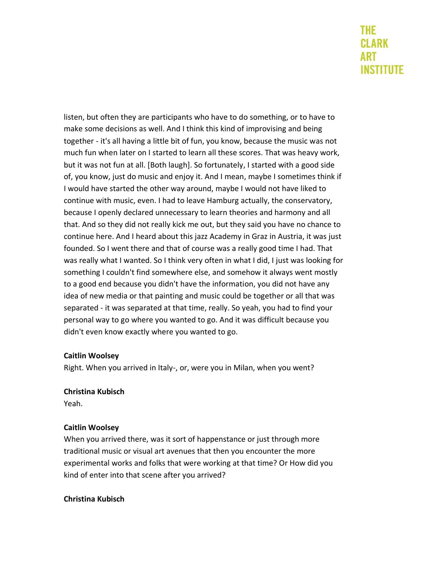listen, but often they are participants who have to do something, or to have to make some decisions as well. And I think this kind of improvising and being together - it's all having a little bit of fun, you know, because the music was not much fun when later on I started to learn all these scores. That was heavy work, but it was not fun at all. [Both laugh]. So fortunately, I started with a good side of, you know, just do music and enjoy it. And I mean, maybe I sometimes think if I would have started the other way around, maybe I would not have liked to continue with music, even. I had to leave Hamburg actually, the conservatory, because I openly declared unnecessary to learn theories and harmony and all that. And so they did not really kick me out, but they said you have no chance to continue here. And I heard about this jazz Academy in Graz in Austria, it was just founded. So I went there and that of course was a really good time I had. That was really what I wanted. So I think very often in what I did, I just was looking for something I couldn't find somewhere else, and somehow it always went mostly to a good end because you didn't have the information, you did not have any idea of new media or that painting and music could be together or all that was separated - it was separated at that time, really. So yeah, you had to find your personal way to go where you wanted to go. And it was difficult because you didn't even know exactly where you wanted to go.

# **Caitlin Woolsey**

Right. When you arrived in Italy-, or, were you in Milan, when you went?

#### **Christina Kubisch**

Yeah.

#### **Caitlin Woolsey**

When you arrived there, was it sort of happenstance or just through more traditional music or visual art avenues that then you encounter the more experimental works and folks that were working at that time? Or How did you kind of enter into that scene after you arrived?

# **Christina Kubisch**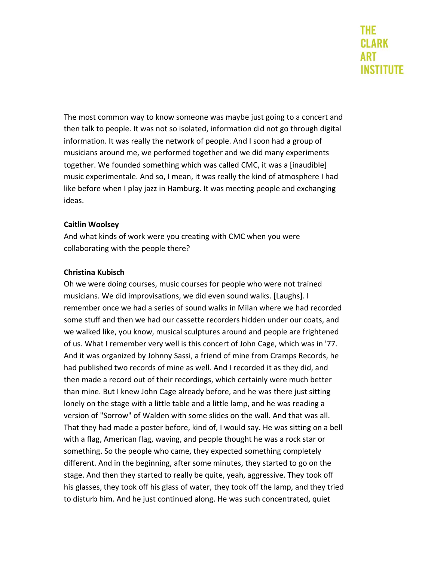The most common way to know someone was maybe just going to a concert and then talk to people. It was not so isolated, information did not go through digital information. It was really the network of people. And I soon had a group of musicians around me, we performed together and we did many experiments together. We founded something which was called CMC, it was a [inaudible] music experimentale. And so, I mean, it was really the kind of atmosphere I had like before when I play jazz in Hamburg. It was meeting people and exchanging ideas.

### **Caitlin Woolsey**

And what kinds of work were you creating with CMC when you were collaborating with the people there?

### **Christina Kubisch**

Oh we were doing courses, music courses for people who were not trained musicians. We did improvisations, we did even sound walks. [Laughs]. I remember once we had a series of sound walks in Milan where we had recorded some stuff and then we had our cassette recorders hidden under our coats, and we walked like, you know, musical sculptures around and people are frightened of us. What I remember very well is this concert of John Cage, which was in '77. And it was organized by Johnny Sassi, a friend of mine from Cramps Records, he had published two records of mine as well. And I recorded it as they did, and then made a record out of their recordings, which certainly were much better than mine. But I knew John Cage already before, and he was there just sitting lonely on the stage with a little table and a little lamp, and he was reading a version of "Sorrow" of Walden with some slides on the wall. And that was all. That they had made a poster before, kind of, I would say. He was sitting on a bell with a flag, American flag, waving, and people thought he was a rock star or something. So the people who came, they expected something completely different. And in the beginning, after some minutes, they started to go on the stage. And then they started to really be quite, yeah, aggressive. They took off his glasses, they took off his glass of water, they took off the lamp, and they tried to disturb him. And he just continued along. He was such concentrated, quiet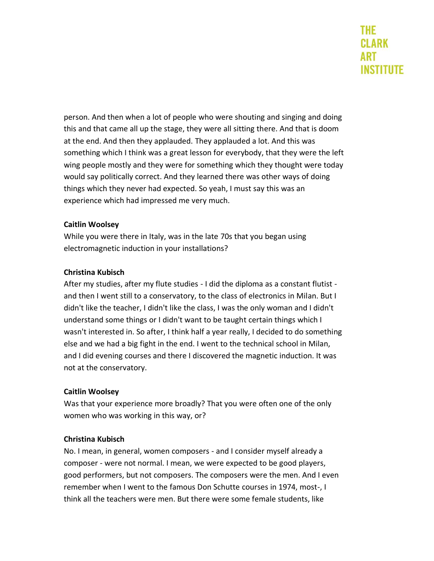person. And then when a lot of people who were shouting and singing and doing this and that came all up the stage, they were all sitting there. And that is doom at the end. And then they applauded. They applauded a lot. And this was something which I think was a great lesson for everybody, that they were the left wing people mostly and they were for something which they thought were today would say politically correct. And they learned there was other ways of doing things which they never had expected. So yeah, I must say this was an experience which had impressed me very much.

# **Caitlin Woolsey**

While you were there in Italy, was in the late 70s that you began using electromagnetic induction in your installations?

### **Christina Kubisch**

After my studies, after my flute studies - I did the diploma as a constant flutist and then I went still to a conservatory, to the class of electronics in Milan. But I didn't like the teacher, I didn't like the class, I was the only woman and I didn't understand some things or I didn't want to be taught certain things which I wasn't interested in. So after, I think half a year really, I decided to do something else and we had a big fight in the end. I went to the technical school in Milan, and I did evening courses and there I discovered the magnetic induction. It was not at the conservatory.

# **Caitlin Woolsey**

Was that your experience more broadly? That you were often one of the only women who was working in this way, or?

#### **Christina Kubisch**

No. I mean, in general, women composers - and I consider myself already a composer - were not normal. I mean, we were expected to be good players, good performers, but not composers. The composers were the men. And I even remember when I went to the famous Don Schutte courses in 1974, most-, I think all the teachers were men. But there were some female students, like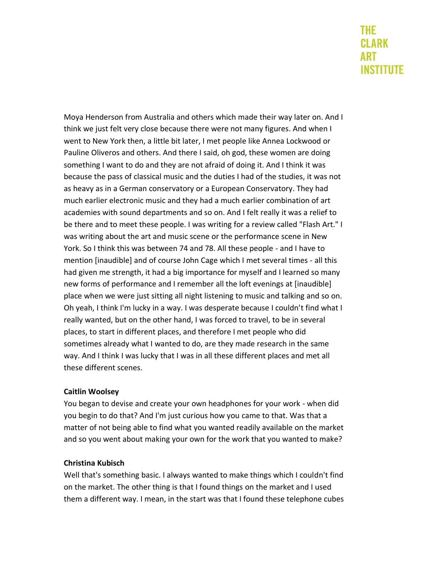Moya Henderson from Australia and others which made their way later on. And I think we just felt very close because there were not many figures. And when I went to New York then, a little bit later, I met people like Annea Lockwood or Pauline Oliveros and others. And there I said, oh god, these women are doing something I want to do and they are not afraid of doing it. And I think it was because the pass of classical music and the duties I had of the studies, it was not as heavy as in a German conservatory or a European Conservatory. They had much earlier electronic music and they had a much earlier combination of art academies with sound departments and so on. And I felt really it was a relief to be there and to meet these people. I was writing for a review called "Flash Art." I was writing about the art and music scene or the performance scene in New York. So I think this was between 74 and 78. All these people - and I have to mention [inaudible] and of course John Cage which I met several times - all this had given me strength, it had a big importance for myself and I learned so many new forms of performance and I remember all the loft evenings at [inaudible] place when we were just sitting all night listening to music and talking and so on. Oh yeah, I think I'm lucky in a way. I was desperate because I couldn't find what I really wanted, but on the other hand, I was forced to travel, to be in several places, to start in different places, and therefore I met people who did sometimes already what I wanted to do, are they made research in the same way. And I think I was lucky that I was in all these different places and met all these different scenes.

# **Caitlin Woolsey**

You began to devise and create your own headphones for your work - when did you begin to do that? And I'm just curious how you came to that. Was that a matter of not being able to find what you wanted readily available on the market and so you went about making your own for the work that you wanted to make?

#### **Christina Kubisch**

Well that's something basic. I always wanted to make things which I couldn't find on the market. The other thing is that I found things on the market and I used them a different way. I mean, in the start was that I found these telephone cubes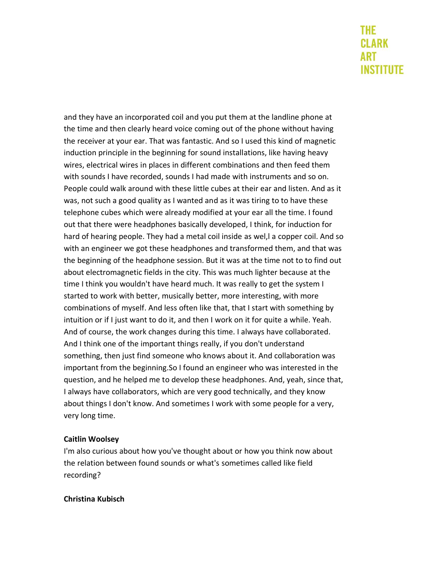and they have an incorporated coil and you put them at the landline phone at the time and then clearly heard voice coming out of the phone without having the receiver at your ear. That was fantastic. And so I used this kind of magnetic induction principle in the beginning for sound installations, like having heavy wires, electrical wires in places in different combinations and then feed them with sounds I have recorded, sounds I had made with instruments and so on. People could walk around with these little cubes at their ear and listen. And as it was, not such a good quality as I wanted and as it was tiring to to have these telephone cubes which were already modified at your ear all the time. I found out that there were headphones basically developed, I think, for induction for hard of hearing people. They had a metal coil inside as wel,l a copper coil. And so with an engineer we got these headphones and transformed them, and that was the beginning of the headphone session. But it was at the time not to to find out about electromagnetic fields in the city. This was much lighter because at the time I think you wouldn't have heard much. It was really to get the system I started to work with better, musically better, more interesting, with more combinations of myself. And less often like that, that I start with something by intuition or if I just want to do it, and then I work on it for quite a while. Yeah. And of course, the work changes during this time. I always have collaborated. And I think one of the important things really, if you don't understand something, then just find someone who knows about it. And collaboration was important from the beginning.So I found an engineer who was interested in the question, and he helped me to develop these headphones. And, yeah, since that, I always have collaborators, which are very good technically, and they know about things I don't know. And sometimes I work with some people for a very, very long time.

# **Caitlin Woolsey**

I'm also curious about how you've thought about or how you think now about the relation between found sounds or what's sometimes called like field recording?

#### **Christina Kubisch**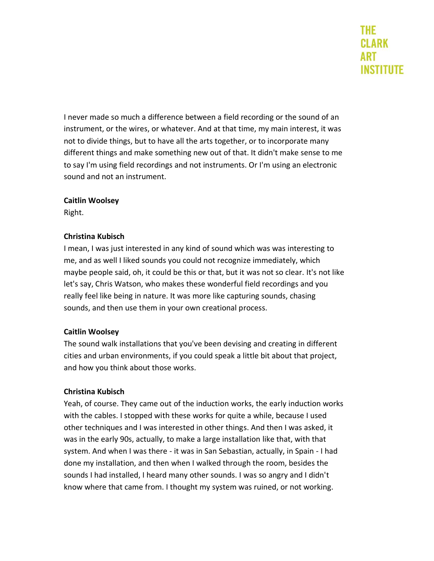I never made so much a difference between a field recording or the sound of an instrument, or the wires, or whatever. And at that time, my main interest, it was not to divide things, but to have all the arts together, or to incorporate many different things and make something new out of that. It didn't make sense to me to say I'm using field recordings and not instruments. Or I'm using an electronic sound and not an instrument.

### **Caitlin Woolsey**

Right.

### **Christina Kubisch**

I mean, I was just interested in any kind of sound which was was interesting to me, and as well I liked sounds you could not recognize immediately, which maybe people said, oh, it could be this or that, but it was not so clear. It's not like let's say, Chris Watson, who makes these wonderful field recordings and you really feel like being in nature. It was more like capturing sounds, chasing sounds, and then use them in your own creational process.

# **Caitlin Woolsey**

The sound walk installations that you've been devising and creating in different cities and urban environments, if you could speak a little bit about that project, and how you think about those works.

# **Christina Kubisch**

Yeah, of course. They came out of the induction works, the early induction works with the cables. I stopped with these works for quite a while, because I used other techniques and I was interested in other things. And then I was asked, it was in the early 90s, actually, to make a large installation like that, with that system. And when I was there - it was in San Sebastian, actually, in Spain - I had done my installation, and then when I walked through the room, besides the sounds I had installed, I heard many other sounds. I was so angry and I didn't know where that came from. I thought my system was ruined, or not working.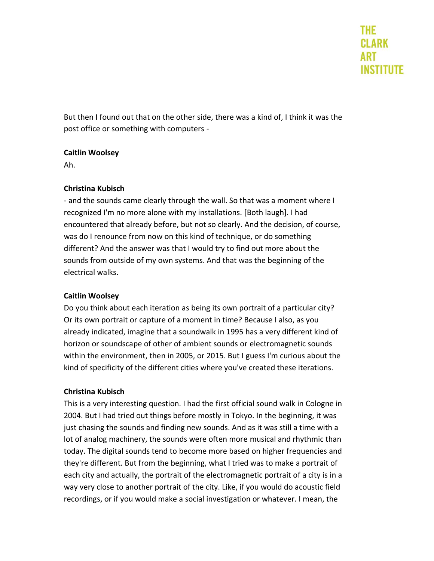But then I found out that on the other side, there was a kind of, I think it was the post office or something with computers -

# **Caitlin Woolsey**

Ah.

# **Christina Kubisch**

- and the sounds came clearly through the wall. So that was a moment where I recognized I'm no more alone with my installations. [Both laugh]. I had encountered that already before, but not so clearly. And the decision, of course, was do I renounce from now on this kind of technique, or do something different? And the answer was that I would try to find out more about the sounds from outside of my own systems. And that was the beginning of the electrical walks.

# **Caitlin Woolsey**

Do you think about each iteration as being its own portrait of a particular city? Or its own portrait or capture of a moment in time? Because I also, as you already indicated, imagine that a soundwalk in 1995 has a very different kind of horizon or soundscape of other of ambient sounds or electromagnetic sounds within the environment, then in 2005, or 2015. But I guess I'm curious about the kind of specificity of the different cities where you've created these iterations.

# **Christina Kubisch**

This is a very interesting question. I had the first official sound walk in Cologne in 2004. But I had tried out things before mostly in Tokyo. In the beginning, it was just chasing the sounds and finding new sounds. And as it was still a time with a lot of analog machinery, the sounds were often more musical and rhythmic than today. The digital sounds tend to become more based on higher frequencies and they're different. But from the beginning, what I tried was to make a portrait of each city and actually, the portrait of the electromagnetic portrait of a city is in a way very close to another portrait of the city. Like, if you would do acoustic field recordings, or if you would make a social investigation or whatever. I mean, the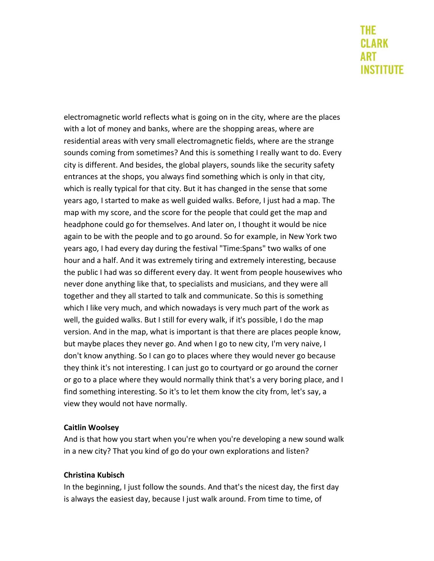electromagnetic world reflects what is going on in the city, where are the places with a lot of money and banks, where are the shopping areas, where are residential areas with very small electromagnetic fields, where are the strange sounds coming from sometimes? And this is something I really want to do. Every city is different. And besides, the global players, sounds like the security safety entrances at the shops, you always find something which is only in that city, which is really typical for that city. But it has changed in the sense that some years ago, I started to make as well guided walks. Before, I just had a map. The map with my score, and the score for the people that could get the map and headphone could go for themselves. And later on, I thought it would be nice again to be with the people and to go around. So for example, in New York two years ago, I had every day during the festival "Time:Spans" two walks of one hour and a half. And it was extremely tiring and extremely interesting, because the public I had was so different every day. It went from people housewives who never done anything like that, to specialists and musicians, and they were all together and they all started to talk and communicate. So this is something which I like very much, and which nowadays is very much part of the work as well, the guided walks. But I still for every walk, if it's possible, I do the map version. And in the map, what is important is that there are places people know, but maybe places they never go. And when I go to new city, I'm very naive, I don't know anything. So I can go to places where they would never go because they think it's not interesting. I can just go to courtyard or go around the corner or go to a place where they would normally think that's a very boring place, and I find something interesting. So it's to let them know the city from, let's say, a view they would not have normally.

# **Caitlin Woolsey**

And is that how you start when you're when you're developing a new sound walk in a new city? That you kind of go do your own explorations and listen?

# **Christina Kubisch**

In the beginning, I just follow the sounds. And that's the nicest day, the first day is always the easiest day, because I just walk around. From time to time, of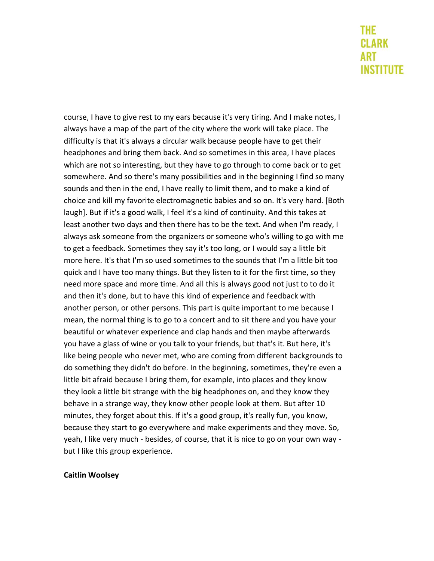course, I have to give rest to my ears because it's very tiring. And I make notes, I always have a map of the part of the city where the work will take place. The difficulty is that it's always a circular walk because people have to get their headphones and bring them back. And so sometimes in this area, I have places which are not so interesting, but they have to go through to come back or to get somewhere. And so there's many possibilities and in the beginning I find so many sounds and then in the end, I have really to limit them, and to make a kind of choice and kill my favorite electromagnetic babies and so on. It's very hard. [Both laugh]. But if it's a good walk, I feel it's a kind of continuity. And this takes at least another two days and then there has to be the text. And when I'm ready, I always ask someone from the organizers or someone who's willing to go with me to get a feedback. Sometimes they say it's too long, or I would say a little bit more here. It's that I'm so used sometimes to the sounds that I'm a little bit too quick and I have too many things. But they listen to it for the first time, so they need more space and more time. And all this is always good not just to to do it and then it's done, but to have this kind of experience and feedback with another person, or other persons. This part is quite important to me because I mean, the normal thing is to go to a concert and to sit there and you have your beautiful or whatever experience and clap hands and then maybe afterwards you have a glass of wine or you talk to your friends, but that's it. But here, it's like being people who never met, who are coming from different backgrounds to do something they didn't do before. In the beginning, sometimes, they're even a little bit afraid because I bring them, for example, into places and they know they look a little bit strange with the big headphones on, and they know they behave in a strange way, they know other people look at them. But after 10 minutes, they forget about this. If it's a good group, it's really fun, you know, because they start to go everywhere and make experiments and they move. So, yeah, I like very much - besides, of course, that it is nice to go on your own way but I like this group experience.

#### **Caitlin Woolsey**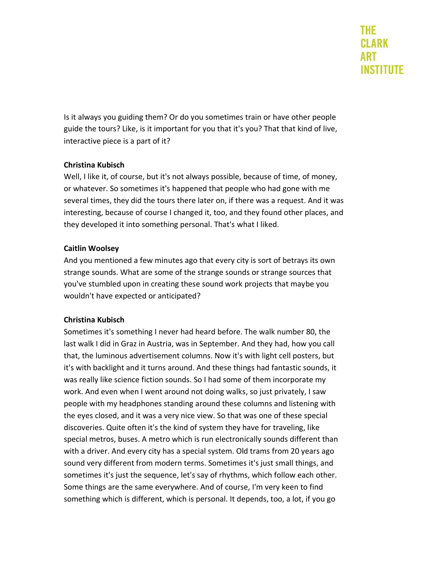Is it always you guiding them? Or do you sometimes train or have other people guide the tours? Like, is it important for you that it's you? That that kind of live, interactive piece is a part of it?

# **Christina Kubisch**

Well, I like it, of course, but it's not always possible, because of time, of money, or whatever. So sometimes it's happened that people who had gone with me several times, they did the tours there later on, if there was a request. And it was interesting, because of course I changed it, too, and they found other places, and they developed it into something personal. That's what I liked.

# **Caitlin Woolsey**

And you mentioned a few minutes ago that every city is sort of betrays its own strange sounds. What are some of the strange sounds or strange sources that you've stumbled upon in creating these sound work projects that maybe you wouldn't have expected or anticipated?

# **Christina Kubisch**

Sometimes it's something I never had heard before. The walk number 80, the last walk I did in Graz in Austria, was in September. And they had, how you call that, the luminous advertisement columns. Now it's with light cell posters, but it's with backlight and it turns around. And these things had fantastic sounds, it was really like science fiction sounds. So I had some of them incorporate my work. And even when I went around not doing walks, so just privately, I saw people with my headphones standing around these columns and listening with the eyes closed, and it was a very nice view. So that was one of these special discoveries. Quite often it's the kind of system they have for traveling, like special metros, buses. A metro which is run electronically sounds different than with a driver. And every city has a special system. Old trams from 20 years ago sound very different from modern terms. Sometimes it's just small things, and sometimes it's just the sequence, let's say of rhythms, which follow each other. Some things are the same everywhere. And of course, I'm very keen to find something which is different, which is personal. It depends, too, a lot, if you go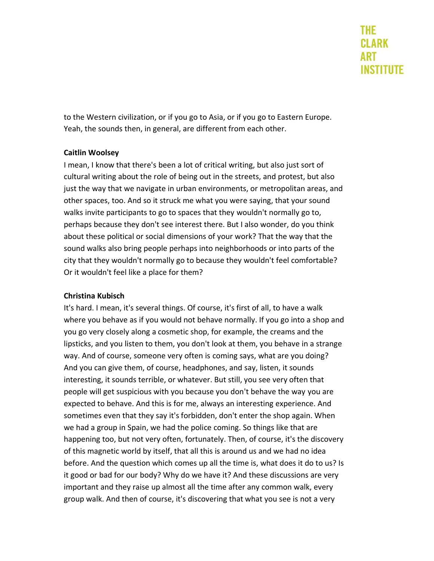to the Western civilization, or if you go to Asia, or if you go to Eastern Europe. Yeah, the sounds then, in general, are different from each other.

### **Caitlin Woolsey**

I mean, I know that there's been a lot of critical writing, but also just sort of cultural writing about the role of being out in the streets, and protest, but also just the way that we navigate in urban environments, or metropolitan areas, and other spaces, too. And so it struck me what you were saying, that your sound walks invite participants to go to spaces that they wouldn't normally go to, perhaps because they don't see interest there. But I also wonder, do you think about these political or social dimensions of your work? That the way that the sound walks also bring people perhaps into neighborhoods or into parts of the city that they wouldn't normally go to because they wouldn't feel comfortable? Or it wouldn't feel like a place for them?

# **Christina Kubisch**

It's hard. I mean, it's several things. Of course, it's first of all, to have a walk where you behave as if you would not behave normally. If you go into a shop and you go very closely along a cosmetic shop, for example, the creams and the lipsticks, and you listen to them, you don't look at them, you behave in a strange way. And of course, someone very often is coming says, what are you doing? And you can give them, of course, headphones, and say, listen, it sounds interesting, it sounds terrible, or whatever. But still, you see very often that people will get suspicious with you because you don't behave the way you are expected to behave. And this is for me, always an interesting experience. And sometimes even that they say it's forbidden, don't enter the shop again. When we had a group in Spain, we had the police coming. So things like that are happening too, but not very often, fortunately. Then, of course, it's the discovery of this magnetic world by itself, that all this is around us and we had no idea before. And the question which comes up all the time is, what does it do to us? Is it good or bad for our body? Why do we have it? And these discussions are very important and they raise up almost all the time after any common walk, every group walk. And then of course, it's discovering that what you see is not a very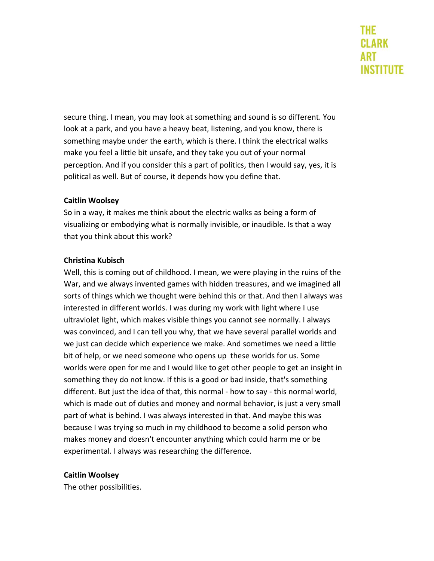secure thing. I mean, you may look at something and sound is so different. You look at a park, and you have a heavy beat, listening, and you know, there is something maybe under the earth, which is there. I think the electrical walks make you feel a little bit unsafe, and they take you out of your normal perception. And if you consider this a part of politics, then I would say, yes, it is political as well. But of course, it depends how you define that.

### **Caitlin Woolsey**

So in a way, it makes me think about the electric walks as being a form of visualizing or embodying what is normally invisible, or inaudible. Is that a way that you think about this work?

### **Christina Kubisch**

Well, this is coming out of childhood. I mean, we were playing in the ruins of the War, and we always invented games with hidden treasures, and we imagined all sorts of things which we thought were behind this or that. And then I always was interested in different worlds. I was during my work with light where I use ultraviolet light, which makes visible things you cannot see normally. I always was convinced, and I can tell you why, that we have several parallel worlds and we just can decide which experience we make. And sometimes we need a little bit of help, or we need someone who opens up these worlds for us. Some worlds were open for me and I would like to get other people to get an insight in something they do not know. If this is a good or bad inside, that's something different. But just the idea of that, this normal - how to say - this normal world, which is made out of duties and money and normal behavior, is just a very small part of what is behind. I was always interested in that. And maybe this was because I was trying so much in my childhood to become a solid person who makes money and doesn't encounter anything which could harm me or be experimental. I always was researching the difference.

# **Caitlin Woolsey**

The other possibilities.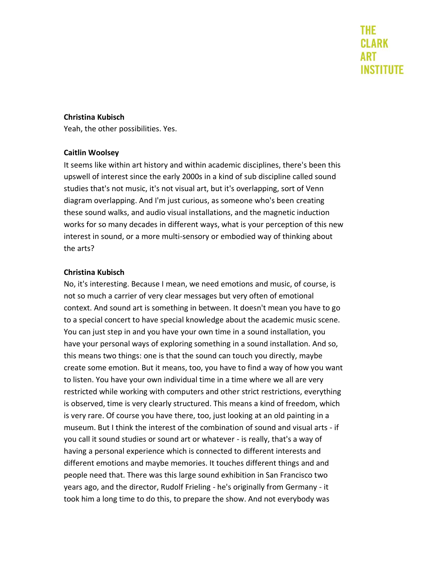#### **Christina Kubisch**

Yeah, the other possibilities. Yes.

#### **Caitlin Woolsey**

It seems like within art history and within academic disciplines, there's been this upswell of interest since the early 2000s in a kind of sub discipline called sound studies that's not music, it's not visual art, but it's overlapping, sort of Venn diagram overlapping. And I'm just curious, as someone who's been creating these sound walks, and audio visual installations, and the magnetic induction works for so many decades in different ways, what is your perception of this new interest in sound, or a more multi-sensory or embodied way of thinking about the arts?

#### **Christina Kubisch**

No, it's interesting. Because I mean, we need emotions and music, of course, is not so much a carrier of very clear messages but very often of emotional context. And sound art is something in between. It doesn't mean you have to go to a special concert to have special knowledge about the academic music scene. You can just step in and you have your own time in a sound installation, you have your personal ways of exploring something in a sound installation. And so, this means two things: one is that the sound can touch you directly, maybe create some emotion. But it means, too, you have to find a way of how you want to listen. You have your own individual time in a time where we all are very restricted while working with computers and other strict restrictions, everything is observed, time is very clearly structured. This means a kind of freedom, which is very rare. Of course you have there, too, just looking at an old painting in a museum. But I think the interest of the combination of sound and visual arts - if you call it sound studies or sound art or whatever - is really, that's a way of having a personal experience which is connected to different interests and different emotions and maybe memories. It touches different things and and people need that. There was this large sound exhibition in San Francisco two years ago, and the director, Rudolf Frieling - he's originally from Germany - it took him a long time to do this, to prepare the show. And not everybody was